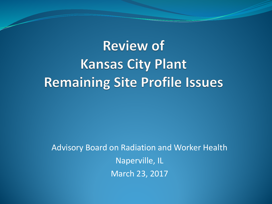# **Review of Kansas City Plant Remaining Site Profile Issues**

Advisory Board on Radiation and Worker Health Naperville, IL March 23, 2017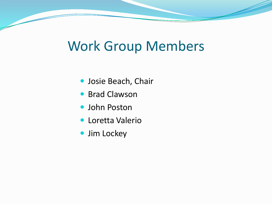# Work Group Members

- Josie Beach, Chair
- **Brad Clawson**
- John Poston
- Loretta Valerio
- Jim Lockey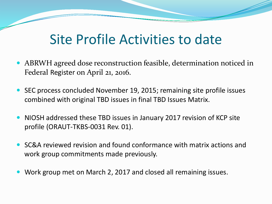# Site Profile Activities to date

- ABRWH agreed dose reconstruction feasible, determination noticed in Federal Register on April 21, 2016.
- SEC process concluded November 19, 2015; remaining site profile issues combined with original TBD issues in final TBD Issues Matrix.
- NIOSH addressed these TBD issues in January 2017 revision of KCP site profile (ORAUT-TKBS-0031 Rev. 01).
- SC&A reviewed revision and found conformance with matrix actions and work group commitments made previously.
- Work group met on March 2, 2017 and closed all remaining issues.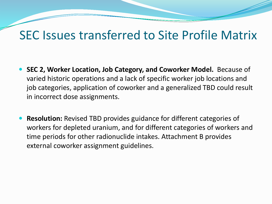#### SEC Issues transferred to Site Profile Matrix

- **SEC 2, Worker Location, Job Category, and Coworker Model.** Because of varied historic operations and a lack of specific worker job locations and job categories, application of coworker and a generalized TBD could result in incorrect dose assignments.
- **Resolution:** Revised TBD provides guidance for different categories of workers for depleted uranium, and for different categories of workers and time periods for other radionuclide intakes. Attachment B provides external coworker assignment guidelines.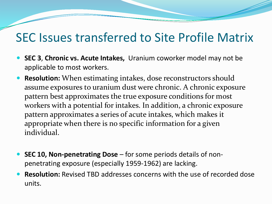#### SEC Issues transferred to Site Profile Matrix

- **SEC 3**, **Chronic vs. Acute Intakes,** Uranium coworker model may not be applicable to most workers.
- **Resolution:** When estimating intakes, dose reconstructors should assume exposures to uranium dust were chronic. A chronic exposure pattern best approximates the true exposure conditions for most workers with a potential for intakes. In addition, a chronic exposure pattern approximates a series of acute intakes, which makes it appropriate when there is no specific information for a given individual.
- **SEC 10, Non-penetrating Dose**  for some periods details of nonpenetrating exposure (especially 1959-1962) are lacking.
- **Resolution:** Revised TBD addresses concerns with the use of recorded dose units.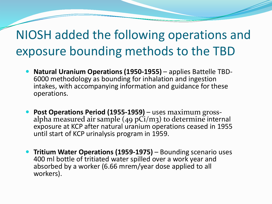#### NIOSH added the following operations and exposure bounding methods to the TBD

- **Natural Uranium Operations (1950-1955)** applies Battelle TBD-<br>6000 methodology as bounding for inhalation and ingestion intakes, with accompanying information and guidance for these operations.
- **Post Operations Period (1955-1959)**  uses maximum gross- alpha measured air sample (49 pCi/m3) to determine internal exposure at KCP after natural uranium operations ceased in 1955 until start of KCP urinalysis program in 1959.
- **Tritium Water Operations (1959-1975)**  Bounding scenario uses 400 ml bottle of tritiated water spilled over a work year and absorbed by a worker (6.66 mrem/year dose applied to all workers).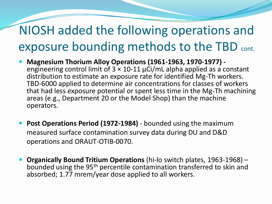#### NIOSH added the following operations and exposure bounding methods to the TBD cont.

- **Magnesium Thorium Alloy Operations (1961-1963, 1970-1977) -** engineering control limit of 3 × 10-11 μCi/mL alpha applied as a constant distribution to estimate an exposure rate for identified Mg-Th workers. TBD-6000 applied to determine air concentrations for classes of workers that had less exposure potential or spent less time in the Mg-Th machining areas (e.g., Department 20 or the Model Shop) than the machine operators.
- **Post Operations Period (1972-1984)**  bounded using the maximum measured surface contamination survey data during DU and D&D operations and ORAUT-OTIB-0070.
- **Organically Bound Tritium Operations** (hi-lo switch plates, 1963-1968) bounded using the 95th percentile contamination transferred to skin and absorbed; 1.77 mrem/year dose applied to all workers.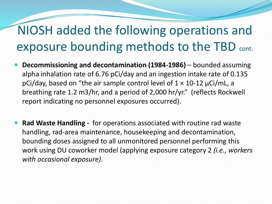#### NIOSH added the following operations and exposure bounding methods to the TBD cont.

- **Decommissioning and decontamination (1984-1986)**  bounded assuming alpha inhalation rate of 6.76 pCi/day and an ingestion intake rate of 0.135 pCi/day, based on "the air sample control level of  $1 \times 10$ -12  $\mu$ Ci/mL, a breathing rate 1.2 m3/hr, and a period of 2,000 hr/yr." (reflects Rockwell report indicating no personnel exposures occurred).
- **Rad Waste Handling -** for operations associated with routine rad waste handling, rad-area maintenance, housekeeping and decontamination, bounding doses assigned to all unmonitored personnel performing this work using DU coworker model (applying exposure category 2 *(i.e., workers with occasional exposure)*.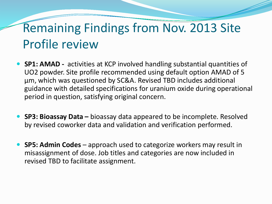# Remaining Findings from Nov. 2013 Site Profile review

- **SP1: AMAD -** activities at KCP involved handling substantial quantities of UO2 powder. Site profile recommended using default option AMAD of 5 μm, which was questioned by SC&A. Revised TBD includes additional guidance with detailed specifications for uranium oxide during operational period in question, satisfying original concern.
- **SP3: Bioassay Data –** bioassay data appeared to be incomplete. Resolved by revised coworker data and validation and verification performed.
- **SP5: Admin Codes**  approach used to categorize workers may result in misassignment of dose. Job titles and categories are now included in revised TBD to facilitate assignment.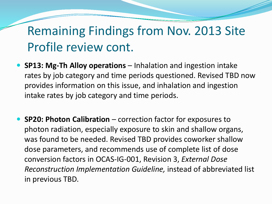#### Remaining Findings from Nov. 2013 Site Profile review cont.

- **SP13: Mg-Th Alloy operations**  Inhalation and ingestion intake rates by job category and time periods questioned. Revised TBD now provides information on this issue, and inhalation and ingestion intake rates by job category and time periods.
- **SP20: Photon Calibration** correction factor for exposures to photon radiation, especially exposure to skin and shallow organs, was found to be needed. Revised TBD provides coworker shallow dose parameters, and recommends use of complete list of dose conversion factors in OCAS-IG-001, Revision 3, *External Dose Reconstruction Implementation Guideline,* instead of abbreviated list in previous TBD.